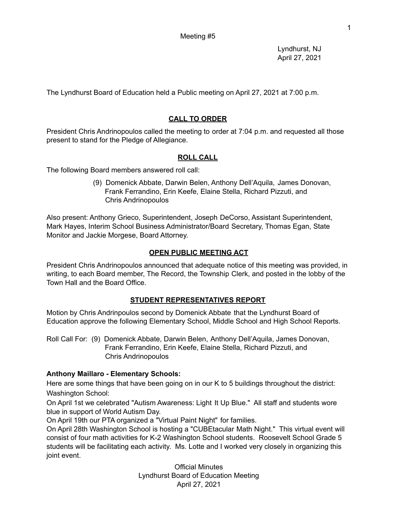Lyndhurst, NJ April 27, 2021

The Lyndhurst Board of Education held a Public meeting on April 27, 2021 at 7:00 p.m.

# **CALL TO ORDER**

President Chris Andrinopoulos called the meeting to order at 7:04 p.m. and requested all those present to stand for the Pledge of Allegiance.

# **ROLL CALL**

The following Board members answered roll call:

(9) Domenick Abbate, Darwin Belen, Anthony Dell'Aquila, James Donovan, Frank Ferrandino, Erin Keefe, Elaine Stella, Richard Pizzuti, and Chris Andrinopoulos

Also present: Anthony Grieco, Superintendent, Joseph DeCorso, Assistant Superintendent, Mark Hayes, Interim School Business Administrator/Board Secretary, Thomas Egan, State Monitor and Jackie Morgese, Board Attorney.

## **OPEN PUBLIC MEETING ACT**

President Chris Andrinopoulos announced that adequate notice of this meeting was provided, in writing, to each Board member, The Record, the Township Clerk, and posted in the lobby of the Town Hall and the Board Office.

# **STUDENT REPRESENTATIVES REPORT**

Motion by Chris Andrinpoulos second by Domenick Abbate that the Lyndhurst Board of Education approve the following Elementary School, Middle School and High School Reports.

Roll Call For: (9) Domenick Abbate, Darwin Belen, Anthony Dell'Aquila, James Donovan, Frank Ferrandino, Erin Keefe, Elaine Stella, Richard Pizzuti, and Chris Andrinopoulos

## **Anthony Maillaro - Elementary Schools:**

Here are some things that have been going on in our K to 5 buildings throughout the district: Washington School:

On April 1st we celebrated "Autism Awareness: Light It Up Blue." All staff and students wore blue in support of World Autism Day.

On April 19th our PTA organized a "Virtual Paint Night" for families.

On April 28th Washington School is hosting a "CUBEtacular Math Night." This virtual event will consist of four math activities for K-2 Washington School students. Roosevelt School Grade 5 students will be facilitating each activity. Ms. Lotte and I worked very closely in organizing this joint event.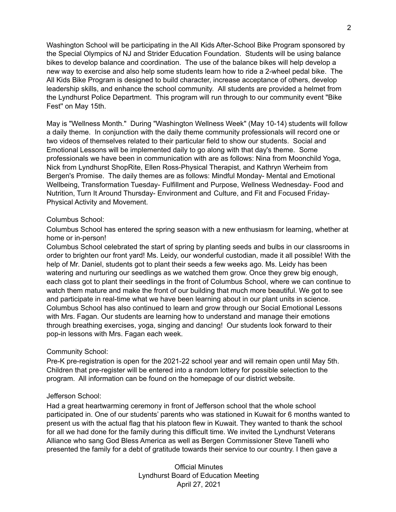Washington School will be participating in the All Kids After-School Bike Program sponsored by the Special Olympics of NJ and Strider Education Foundation. Students will be using balance bikes to develop balance and coordination. The use of the balance bikes will help develop a new way to exercise and also help some students learn how to ride a 2-wheel pedal bike. The All Kids Bike Program is designed to build character, increase acceptance of others, develop leadership skills, and enhance the school community. All students are provided a helmet from the Lyndhurst Police Department. This program will run through to our community event "Bike Fest'' on May 15th.

May is "Wellness Month." During "Washington Wellness Week" (May 10-14) students will follow a daily theme. In conjunction with the daily theme community professionals will record one or two videos of themselves related to their particular field to show our students. Social and Emotional Lessons will be implemented daily to go along with that day's theme. Some professionals we have been in communication with are as follows: Nina from Moonchild Yoga, Nick from Lyndhurst ShopRite, Ellen Ross-Physical Therapist, and Kathryn Werheim from Bergen's Promise. The daily themes are as follows: Mindful Monday- Mental and Emotional Wellbeing, Transformation Tuesday- Fulfillment and Purpose, Wellness Wednesday- Food and Nutrition, Turn It Around Thursday- Environment and Culture, and Fit and Focused Friday-Physical Activity and Movement.

#### Columbus School:

Columbus School has entered the spring season with a new enthusiasm for learning, whether at home or in-person!

Columbus School celebrated the start of spring by planting seeds and bulbs in our classrooms in order to brighten our front yard! Ms. Leidy, our wonderful custodian, made it all possible! With the help of Mr. Daniel, students got to plant their seeds a few weeks ago. Ms. Leidy has been watering and nurturing our seedlings as we watched them grow. Once they grew big enough, each class got to plant their seedlings in the front of Columbus School, where we can continue to watch them mature and make the front of our building that much more beautiful. We got to see and participate in real-time what we have been learning about in our plant units in science. Columbus School has also continued to learn and grow through our Social Emotional Lessons with Mrs. Fagan. Our students are learning how to understand and manage their emotions through breathing exercises, yoga, singing and dancing! Our students look forward to their pop-in lessons with Mrs. Fagan each week.

### Community School:

Pre-K pre-registration is open for the 2021-22 school year and will remain open until May 5th. Children that pre-register will be entered into a random lottery for possible selection to the program. All information can be found on the homepage of our district website.

#### Jefferson School:

Had a great heartwarming ceremony in front of Jefferson school that the whole school participated in. One of our students' parents who was stationed in Kuwait for 6 months wanted to present us with the actual flag that his platoon flew in Kuwait. They wanted to thank the school for all we had done for the family during this difficult time. We invited the Lyndhurst Veterans Alliance who sang God Bless America as well as Bergen Commissioner Steve Tanelli who presented the family for a debt of gratitude towards their service to our country. I then gave a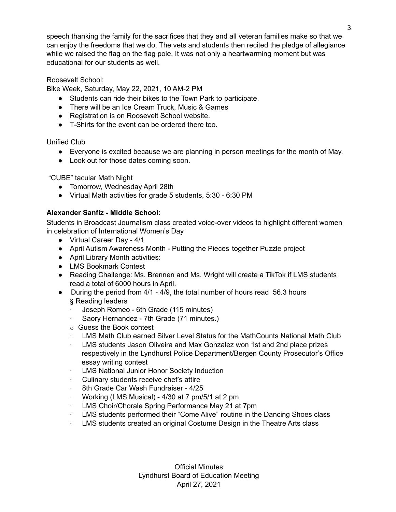speech thanking the family for the sacrifices that they and all veteran families make so that we can enjoy the freedoms that we do. The vets and students then recited the pledge of allegiance while we raised the flag on the flag pole. It was not only a heartwarming moment but was educational for our students as well.

### Roosevelt School:

Bike Week, Saturday, May 22, 2021, 10 AM-2 PM

- Students can ride their bikes to the Town Park to participate.
- There will be an Ice Cream Truck, Music & Games
- Registration is on Roosevelt School website.
- T-Shirts for the event can be ordered there too.

Unified Club

- Everyone is excited because we are planning in person meetings for the month of May.
- Look out for those dates coming soon.

"CUBE" tacular Math Night

- Tomorrow, Wednesday April 28th
- Virtual Math activities for grade 5 students, 5:30 6:30 PM

### **Alexander Sanfiz - Middle School:**

Students in Broadcast Journalism class created voice-over videos to highlight different women in celebration of International Women's Day

- Virtual Career Day 4/1
- April Autism Awareness Month Putting the Pieces together Puzzle project
- April Library Month activities:
- LMS Bookmark Contest
- Reading Challenge: Ms. Brennen and Ms. Wright will create a TikTok if LMS students read a total of 6000 hours in April.
- During the period from 4/1 4/9, the total number of hours read 56.3 hours § Reading leaders
	- · Joseph Romeo 6th Grade (115 minutes)
	- · Saory Hernandez 7th Grade (71 minutes.)
	- o Guess the Book contest
	- LMS Math Club earned Silver Level Status for the MathCounts National Math Club
	- LMS students Jason Oliveira and Max Gonzalez won 1st and 2nd place prizes respectively in the Lyndhurst Police Department/Bergen County Prosecutor's Office essay writing contest
	- LMS National Junior Honor Society Induction
	- · Culinary students receive chef's attire
	- 8th Grade Car Wash Fundraiser 4/25
	- · Working (LMS Musical) 4/30 at 7 pm/5/1 at 2 pm
	- LMS Choir/Chorale Spring Performance May 21 at 7pm
	- · LMS students performed their "Come Alive" routine in the Dancing Shoes class
	- LMS students created an original Costume Design in the Theatre Arts class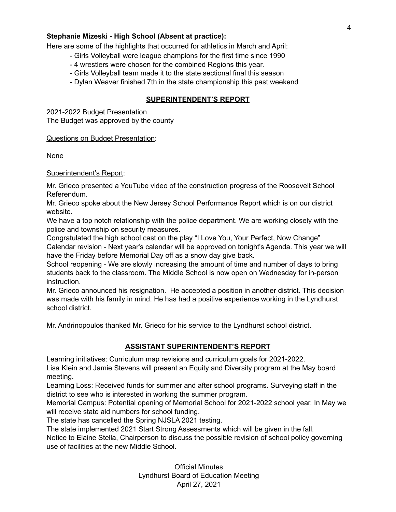### **Stephanie Mizeski - High School (Absent at practice):**

Here are some of the highlights that occurred for athletics in March and April:

- Girls Volleyball were league champions for the first time since 1990
- 4 wrestlers were chosen for the combined Regions this year.
- Girls Volleyball team made it to the state sectional final this season
- Dylan Weaver finished 7th in the state championship this past weekend

### **SUPERINTENDENT'S REPORT**

2021-2022 Budget Presentation The Budget was approved by the county

Questions on Budget Presentation:

None

### Superintendent's Report:

Mr. Grieco presented a YouTube video of the construction progress of the Roosevelt School Referendum.

Mr. Grieco spoke about the New Jersey School Performance Report which is on our district website.

We have a top notch relationship with the police department. We are working closely with the police and township on security measures.

Congratulated the high school cast on the play "I Love You, Your Perfect, Now Change" Calendar revision - Next year's calendar will be approved on tonight's Agenda. This year we will have the Friday before Memorial Day off as a snow day give back.

School reopening - We are slowly increasing the amount of time and number of days to bring students back to the classroom. The Middle School is now open on Wednesday for in-person instruction.

Mr. Grieco announced his resignation. He accepted a position in another district. This decision was made with his family in mind. He has had a positive experience working in the Lyndhurst school district.

Mr. Andrinopoulos thanked Mr. Grieco for his service to the Lyndhurst school district.

## **ASSISTANT SUPERINTENDENT'S REPORT**

Learning initiatives: Curriculum map revisions and curriculum goals for 2021-2022. Lisa Klein and Jamie Stevens will present an Equity and Diversity program at the May board meeting.

Learning Loss: Received funds for summer and after school programs. Surveying staff in the district to see who is interested in working the summer program.

Memorial Campus: Potential opening of Memorial School for 2021-2022 school year. In May we will receive state aid numbers for school funding.

The state has cancelled the Spring NJSLA 2021 testing.

The state implemented 2021 Start Strong Assessments which will be given in the fall.

Notice to Elaine Stella, Chairperson to discuss the possible revision of school policy governing use of facilities at the new Middle School.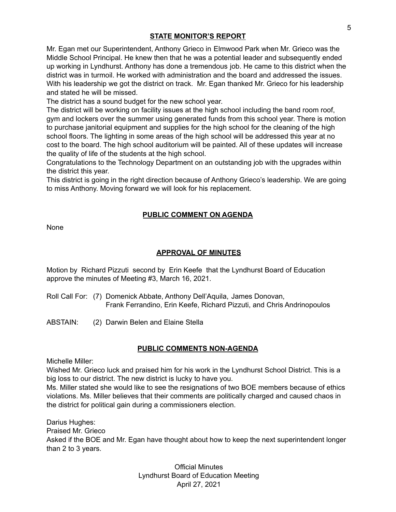### **STATE MONITOR'S REPORT**

Mr. Egan met our Superintendent, Anthony Grieco in Elmwood Park when Mr. Grieco was the Middle School Principal. He knew then that he was a potential leader and subsequently ended up working in Lyndhurst. Anthony has done a tremendous job. He came to this district when the district was in turmoil. He worked with administration and the board and addressed the issues. With his leadership we got the district on track. Mr. Egan thanked Mr. Grieco for his leadership and stated he will be missed.

The district has a sound budget for the new school year.

The district will be working on facility issues at the high school including the band room roof, gym and lockers over the summer using generated funds from this school year. There is motion to purchase janitorial equipment and supplies for the high school for the cleaning of the high school floors. The lighting in some areas of the high school will be addressed this year at no cost to the board. The high school auditorium will be painted. All of these updates will increase the quality of life of the students at the high school.

Congratulations to the Technology Department on an outstanding job with the upgrades within the district this year.

This district is going in the right direction because of Anthony Grieco's leadership. We are going to miss Anthony. Moving forward we will look for his replacement.

### **PUBLIC COMMENT ON AGENDA**

None

## **APPROVAL OF MINUTES**

Motion by Richard Pizzuti second by Erin Keefe that the Lyndhurst Board of Education approve the minutes of Meeting #3, March 16, 2021.

- Roll Call For: (7) Domenick Abbate, Anthony Dell'Aquila, James Donovan, Frank Ferrandino, Erin Keefe, Richard Pizzuti, and Chris Andrinopoulos
- ABSTAIN: (2) Darwin Belen and Elaine Stella

### **PUBLIC COMMENTS NON-AGENDA**

Michelle Miller:

Wished Mr. Grieco luck and praised him for his work in the Lyndhurst School District. This is a big loss to our district. The new district is lucky to have you.

Ms. Miller stated she would like to see the resignations of two BOE members because of ethics violations. Ms. Miller believes that their comments are politically charged and caused chaos in the district for political gain during a commissioners election.

Darius Hughes: Praised Mr. Grieco Asked if the BOE and Mr. Egan have thought about how to keep the next superintendent longer than 2 to 3 years.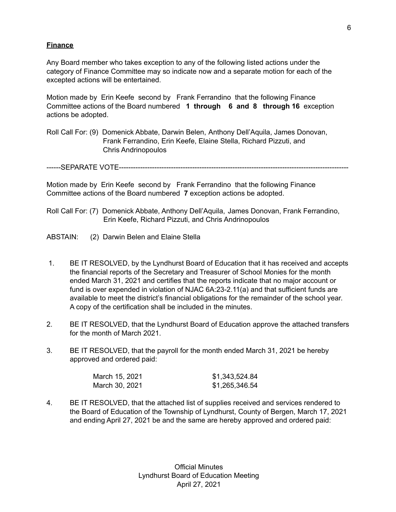### **Finance**

Any Board member who takes exception to any of the following listed actions under the category of Finance Committee may so indicate now and a separate motion for each of the excepted actions will be entertained.

Motion made by Erin Keefe second by Frank Ferrandino that the following Finance Committee actions of the Board numbered **1 through 6 and 8 through 16** exception actions be adopted.

Roll Call For: (9) Domenick Abbate, Darwin Belen, Anthony Dell'Aquila, James Donovan, Frank Ferrandino, Erin Keefe, Elaine Stella, Richard Pizzuti, and Chris Andrinopoulos

------SEPARATE VOTE-------------------------------------------------------------------------------------------------

Motion made by Erin Keefe second by Frank Ferrandino that the following Finance Committee actions of the Board numbered **7** exception actions be adopted.

- Roll Call For: (7) Domenick Abbate, Anthony Dell'Aquila, James Donovan, Frank Ferrandino, Erin Keefe, Richard Pizzuti, and Chris Andrinopoulos
- ABSTAIN: (2) Darwin Belen and Elaine Stella
- 1. BE IT RESOLVED, by the Lyndhurst Board of Education that it has received and accepts the financial reports of the Secretary and Treasurer of School Monies for the month ended March 31, 2021 and certifies that the reports indicate that no major account or fund is over expended in violation of NJAC 6A:23-2.11(a) and that sufficient funds are available to meet the district's financial obligations for the remainder of the school year. A copy of the certification shall be included in the minutes.
- 2. BE IT RESOLVED, that the Lyndhurst Board of Education approve the attached transfers for the month of March 2021.
- 3. BE IT RESOLVED, that the payroll for the month ended March 31, 2021 be hereby approved and ordered paid:

| March 15, 2021 | \$1,343,524.84 |
|----------------|----------------|
| March 30, 2021 | \$1,265,346.54 |

4. BE IT RESOLVED, that the attached list of supplies received and services rendered to the Board of Education of the Township of Lyndhurst, County of Bergen, March 17, 2021 and ending April 27, 2021 be and the same are hereby approved and ordered paid: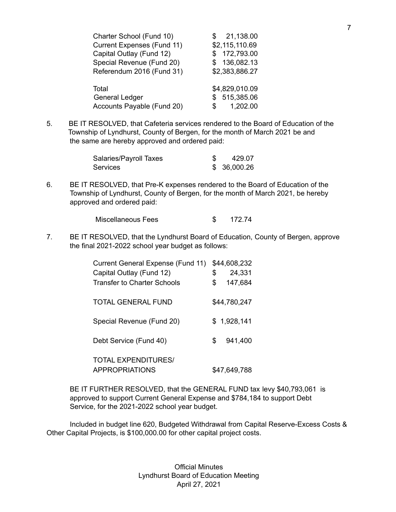| Charter School (Fund 10)          | 21,138.00      |
|-----------------------------------|----------------|
| <b>Current Expenses (Fund 11)</b> | \$2,115,110.69 |
| Capital Outlay (Fund 12)          | \$172,793.00   |
| Special Revenue (Fund 20)         | \$136,082.13   |
| Referendum 2016 (Fund 31)         | \$2,383,886.27 |
|                                   |                |
| Total                             | \$4,829,010.09 |
| <b>General Ledger</b>             | \$515,385.06   |
| Accounts Payable (Fund 20)        | 1,202.00<br>\$ |

5. BE IT RESOLVED, that Cafeteria services rendered to the Board of Education of the Township of Lyndhurst, County of Bergen, for the month of March 2021 be and the same are hereby approved and ordered paid:

| Salaries/Payroll Taxes | 429.07       |
|------------------------|--------------|
| <b>Services</b>        | \$ 36,000.26 |

6. BE IT RESOLVED, that Pre-K expenses rendered to the Board of Education of the Township of Lyndhurst, County of Bergen, for the month of March 2021, be hereby approved and ordered paid:

| Miscellaneous Fees |  | 172.74 |
|--------------------|--|--------|
|--------------------|--|--------|

7. BE IT RESOLVED, that the Lyndhurst Board of Education, County of Bergen, approve the final 2021-2022 school year budget as follows:

| Current General Expense (Fund 11)                   | \$44,608,232  |
|-----------------------------------------------------|---------------|
| Capital Outlay (Fund 12)                            | \$<br>24,331  |
| <b>Transfer to Charter Schools</b>                  | \$<br>147,684 |
| <b>TOTAL GENERAL FUND</b>                           | \$44,780,247  |
| Special Revenue (Fund 20)                           | \$1,928,141   |
| Debt Service (Fund 40)                              | \$<br>941,400 |
| <b>TOTAL EXPENDITURES/</b><br><b>APPROPRIATIONS</b> | \$47,649,788  |

BE IT FURTHER RESOLVED, that the GENERAL FUND tax levy \$40,793,061 is approved to support Current General Expense and \$784,184 to support Debt Service, for the 2021-2022 school year budget.

Included in budget line 620, Budgeted Withdrawal from Capital Reserve-Excess Costs & Other Capital Projects, is \$100,000.00 for other capital project costs.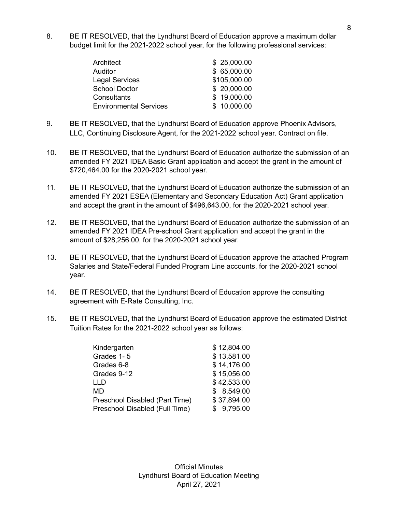8. BE IT RESOLVED, that the Lyndhurst Board of Education approve a maximum dollar budget limit for the 2021-2022 school year, for the following professional services:

| Architect                     | \$25,000.00  |
|-------------------------------|--------------|
| Auditor                       | \$65,000.00  |
| <b>Legal Services</b>         | \$105,000.00 |
| <b>School Doctor</b>          | \$ 20,000.00 |
| Consultants                   | \$19,000.00  |
| <b>Environmental Services</b> | \$10,000.00  |

- 9. BE IT RESOLVED, that the Lyndhurst Board of Education approve Phoenix Advisors, LLC, Continuing Disclosure Agent, for the 2021-2022 school year. Contract on file.
- 10. BE IT RESOLVED, that the Lyndhurst Board of Education authorize the submission of an amended FY 2021 IDEA Basic Grant application and accept the grant in the amount of \$720,464.00 for the 2020-2021 school year.
- 11. BE IT RESOLVED, that the Lyndhurst Board of Education authorize the submission of an amended FY 2021 ESEA (Elementary and Secondary Education Act) Grant application and accept the grant in the amount of \$496,643.00, for the 2020-2021 school year.
- 12. BE IT RESOLVED, that the Lyndhurst Board of Education authorize the submission of an amended FY 2021 IDEA Pre-school Grant application and accept the grant in the amount of \$28,256.00, for the 2020-2021 school year.
- 13. BE IT RESOLVED, that the Lyndhurst Board of Education approve the attached Program Salaries and State/Federal Funded Program Line accounts, for the 2020-2021 school year.
- 14. BE IT RESOLVED, that the Lyndhurst Board of Education approve the consulting agreement with E-Rate Consulting, Inc.
- 15. BE IT RESOLVED, that the Lyndhurst Board of Education approve the estimated District Tuition Rates for the 2021-2022 school year as follows:

| Kindergarten                   | \$12,804.00 |
|--------------------------------|-------------|
| Grades 1-5                     | \$13,581.00 |
| Grades 6-8                     | \$14,176.00 |
| Grades 9-12                    | \$15,056.00 |
| LLD                            | \$42,533.00 |
| MD                             | \$8,549.00  |
| Preschool Disabled (Part Time) | \$37,894.00 |
| Preschool Disabled (Full Time) | \$9,795.00  |
|                                |             |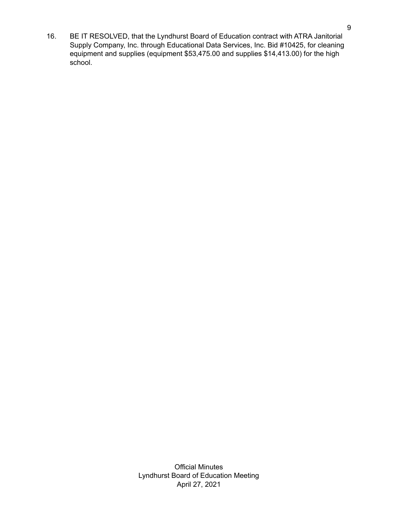16. BE IT RESOLVED, that the Lyndhurst Board of Education contract with ATRA Janitorial Supply Company, Inc. through Educational Data Services, Inc. Bid #10425, for cleaning equipment and supplies (equipment \$53,475.00 and supplies \$14,413.00) for the high school.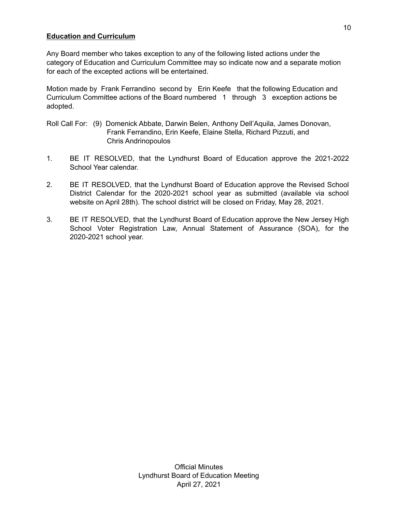### **Education and Curriculum**

Any Board member who takes exception to any of the following listed actions under the category of Education and Curriculum Committee may so indicate now and a separate motion for each of the excepted actions will be entertained.

Motion made by Frank Ferrandino second by Erin Keefe that the following Education and Curriculum Committee actions of the Board numbered 1 through 3 exception actions be adopted.

- Roll Call For: (9) Domenick Abbate, Darwin Belen, Anthony Dell'Aquila, James Donovan, Frank Ferrandino, Erin Keefe, Elaine Stella, Richard Pizzuti, and Chris Andrinopoulos
- 1. BE IT RESOLVED, that the Lyndhurst Board of Education approve the 2021-2022 School Year calendar.
- 2. BE IT RESOLVED, that the Lyndhurst Board of Education approve the Revised School District Calendar for the 2020-2021 school year as submitted (available via school website on April 28th). The school district will be closed on Friday, May 28, 2021.
- 3. BE IT RESOLVED, that the Lyndhurst Board of Education approve the New Jersey High School Voter Registration Law, Annual Statement of Assurance (SOA), for the 2020-2021 school year.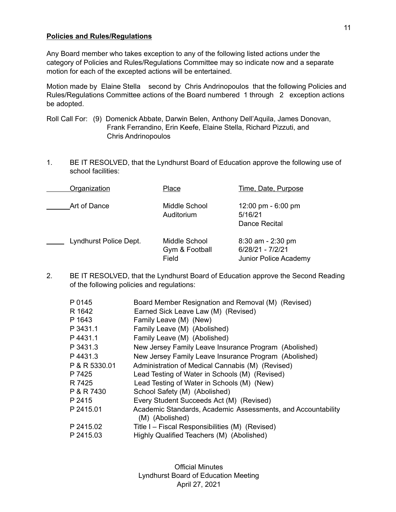#### **Policies and Rules/Regulations**

Any Board member who takes exception to any of the following listed actions under the category of Policies and Rules/Regulations Committee may so indicate now and a separate motion for each of the excepted actions will be entertained.

Motion made by Elaine Stella second by Chris Andrinopoulos that the following Policies and Rules/Regulations Committee actions of the Board numbered 1 through 2 exception actions be adopted.

- Roll Call For: (9) Domenick Abbate, Darwin Belen, Anthony Dell'Aquila, James Donovan, Frank Ferrandino, Erin Keefe, Elaine Stella, Richard Pizzuti, and Chris Andrinopoulos
- 1. BE IT RESOLVED, that the Lyndhurst Board of Education approve the following use of school facilities:

| Organization           | Place                                    | Time, Date, Purpose                                              |
|------------------------|------------------------------------------|------------------------------------------------------------------|
| Art of Dance           | Middle School<br>Auditorium              | 12:00 pm $-6:00$ pm<br>5/16/21<br>Dance Recital                  |
| Lyndhurst Police Dept. | Middle School<br>Gym & Football<br>Field | $8:30$ am - 2:30 pm<br>6/28/21 - 7/2/21<br>Junior Police Academy |

2. BE IT RESOLVED, that the Lyndhurst Board of Education approve the Second Reading of the following policies and regulations:

| P 0145        | Board Member Resignation and Removal (M) (Revised)           |
|---------------|--------------------------------------------------------------|
| R 1642        | Earned Sick Leave Law (M) (Revised)                          |
| P 1643        | Family Leave (M) (New)                                       |
| P 3431.1      | Family Leave (M) (Abolished)                                 |
| P4431.1       | Family Leave (M) (Abolished)                                 |
| P 3431.3      | New Jersey Family Leave Insurance Program (Abolished)        |
| P4431.3       | New Jersey Family Leave Insurance Program (Abolished)        |
| P & R 5330.01 | Administration of Medical Cannabis (M) (Revised)             |
| P 7425        | Lead Testing of Water in Schools (M) (Revised)               |
| R 7425        | Lead Testing of Water in Schools (M) (New)                   |
| P & R 7430    | School Safety (M) (Abolished)                                |
| P 2415        | Every Student Succeeds Act (M) (Revised)                     |
| P 2415.01     | Academic Standards, Academic Assessments, and Accountability |
|               | (M) (Abolished)                                              |
| P 2415.02     | Title I – Fiscal Responsibilities (M) (Revised)              |
| P 2415.03     | Highly Qualified Teachers (M) (Abolished)                    |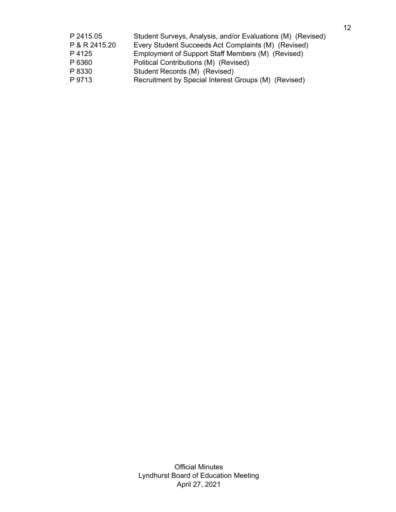| P 2415.05     | Student Surveys, Analysis, and/or Evaluations (M) (Revised) |
|---------------|-------------------------------------------------------------|
| P & R 2415.20 | Every Student Succeeds Act Complaints (M) (Revised)         |
| P 4125        | Employment of Support Staff Members (M) (Revised)           |
| P 6360        | Political Contributions (M) (Revised)                       |
| P 8330        | Student Records (M) (Revised)                               |
| P 9713        | Recruitment by Special Interest Groups (M) (Revised)        |
|               |                                                             |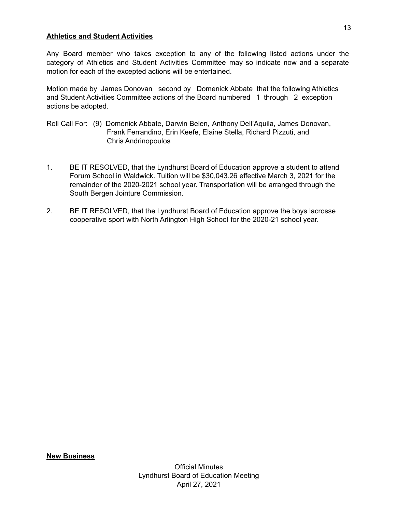#### **Athletics and Student Activities**

Any Board member who takes exception to any of the following listed actions under the category of Athletics and Student Activities Committee may so indicate now and a separate motion for each of the excepted actions will be entertained.

Motion made by James Donovan second by Domenick Abbate that the following Athletics and Student Activities Committee actions of the Board numbered 1 through 2 exception actions be adopted.

- Roll Call For: (9) Domenick Abbate, Darwin Belen, Anthony Dell'Aquila, James Donovan, Frank Ferrandino, Erin Keefe, Elaine Stella, Richard Pizzuti, and Chris Andrinopoulos
- 1. BE IT RESOLVED, that the Lyndhurst Board of Education approve a student to attend Forum School in Waldwick. Tuition will be \$30,043.26 effective March 3, 2021 for the remainder of the 2020-2021 school year. Transportation will be arranged through the South Bergen Jointure Commission.
- 2. BE IT RESOLVED, that the Lyndhurst Board of Education approve the boys lacrosse cooperative sport with North Arlington High School for the 2020-21 school year.

13

## **New Business**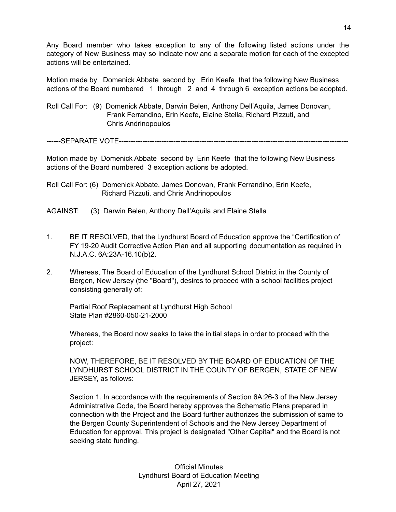Any Board member who takes exception to any of the following listed actions under the category of New Business may so indicate now and a separate motion for each of the excepted actions will be entertained.

Motion made by Domenick Abbate second by Erin Keefe that the following New Business actions of the Board numbered 1 through 2 and 4 through 6 exception actions be adopted.

Roll Call For: (9) Domenick Abbate, Darwin Belen, Anthony Dell'Aquila, James Donovan, Frank Ferrandino, Erin Keefe, Elaine Stella, Richard Pizzuti, and Chris Andrinopoulos

------SEPARATE VOTE----------

Motion made by Domenick Abbate second by Erin Keefe that the following New Business actions of the Board numbered 3 exception actions be adopted.

Roll Call For: (6) Domenick Abbate, James Donovan, Frank Ferrandino, Erin Keefe, Richard Pizzuti, and Chris Andrinopoulos

- AGAINST: (3) Darwin Belen, Anthony Dell'Aquila and Elaine Stella
- 1. BE IT RESOLVED, that the Lyndhurst Board of Education approve the "Certification of FY 19-20 Audit Corrective Action Plan and all supporting documentation as required in N.J.A.C. 6A:23A-16.10(b)2.
- 2. Whereas, The Board of Education of the Lyndhurst School District in the County of Bergen, New Jersey (the "Board"), desires to proceed with a school facilities project consisting generally of:

Partial Roof Replacement at Lyndhurst High School State Plan #2860-050-21-2000

Whereas, the Board now seeks to take the initial steps in order to proceed with the project:

NOW, THEREFORE, BE IT RESOLVED BY THE BOARD OF EDUCATION OF THE LYNDHURST SCHOOL DISTRICT IN THE COUNTY OF BERGEN, STATE OF NEW JERSEY, as follows:

Section 1. In accordance with the requirements of Section 6A:26-3 of the New Jersey Administrative Code, the Board hereby approves the Schematic Plans prepared in connection with the Project and the Board further authorizes the submission of same to the Bergen County Superintendent of Schools and the New Jersey Department of Education for approval. This project is designated "Other Capital" and the Board is not seeking state funding.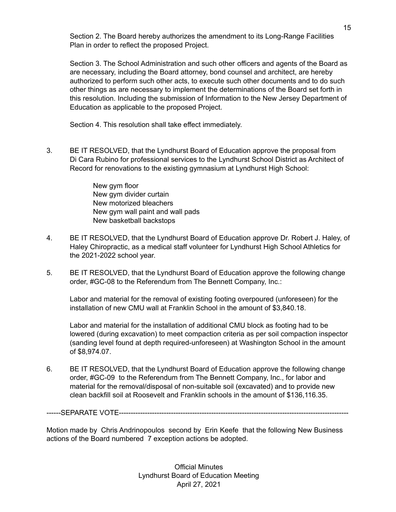Section 2. The Board hereby authorizes the amendment to its Long-Range Facilities Plan in order to reflect the proposed Project.

Section 3. The School Administration and such other officers and agents of the Board as are necessary, including the Board attorney, bond counsel and architect, are hereby authorized to perform such other acts, to execute such other documents and to do such other things as are necessary to implement the determinations of the Board set forth in this resolution. Including the submission of Information to the New Jersey Department of Education as applicable to the proposed Project.

Section 4. This resolution shall take effect immediately.

3. BE IT RESOLVED, that the Lyndhurst Board of Education approve the proposal from Di Cara Rubino for professional services to the Lyndhurst School District as Architect of Record for renovations to the existing gymnasium at Lyndhurst High School:

> New gym floor New gym divider curtain New motorized bleachers New gym wall paint and wall pads New basketball backstops

- 4. BE IT RESOLVED, that the Lyndhurst Board of Education approve Dr. Robert J. Haley, of Haley Chiropractic, as a medical staff volunteer for Lyndhurst High School Athletics for the 2021-2022 school year.
- 5. BE IT RESOLVED, that the Lyndhurst Board of Education approve the following change order, #GC-08 to the Referendum from The Bennett Company, Inc.:

Labor and material for the removal of existing footing overpoured (unforeseen) for the installation of new CMU wall at Franklin School in the amount of \$3,840.18.

Labor and material for the installation of additional CMU block as footing had to be lowered (during excavation) to meet compaction criteria as per soil compaction inspector (sanding level found at depth required-unforeseen) at Washington School in the amount of \$8,974.07.

6. BE IT RESOLVED, that the Lyndhurst Board of Education approve the following change order, #GC-09 to the Referendum from The Bennett Company, Inc., for labor and material for the removal/disposal of non-suitable soil (excavated) and to provide new clean backfill soil at Roosevelt and Franklin schools in the amount of \$136,116.35.

------SEPARATE VOTE-------------------------------------------------------------------------------------------------

Motion made by Chris Andrinopoulos second by Erin Keefe that the following New Business actions of the Board numbered 7 exception actions be adopted.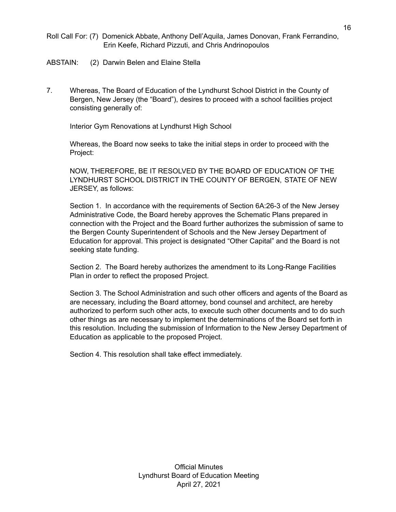- Roll Call For: (7) Domenick Abbate, Anthony Dell'Aquila, James Donovan, Frank Ferrandino, Erin Keefe, Richard Pizzuti, and Chris Andrinopoulos
- ABSTAIN: (2) Darwin Belen and Elaine Stella
- 7. Whereas, The Board of Education of the Lyndhurst School District in the County of Bergen, New Jersey (the "Board"), desires to proceed with a school facilities project consisting generally of:

Interior Gym Renovations at Lyndhurst High School

Whereas, the Board now seeks to take the initial steps in order to proceed with the Project:

NOW, THEREFORE, BE IT RESOLVED BY THE BOARD OF EDUCATION OF THE LYNDHURST SCHOOL DISTRICT IN THE COUNTY OF BERGEN, STATE OF NEW JERSEY, as follows:

Section 1. In accordance with the requirements of Section 6A:26-3 of the New Jersey Administrative Code, the Board hereby approves the Schematic Plans prepared in connection with the Project and the Board further authorizes the submission of same to the Bergen County Superintendent of Schools and the New Jersey Department of Education for approval. This project is designated "Other Capital" and the Board is not seeking state funding.

Section 2. The Board hereby authorizes the amendment to its Long-Range Facilities Plan in order to reflect the proposed Project.

Section 3. The School Administration and such other officers and agents of the Board as are necessary, including the Board attorney, bond counsel and architect, are hereby authorized to perform such other acts, to execute such other documents and to do such other things as are necessary to implement the determinations of the Board set forth in this resolution. Including the submission of Information to the New Jersey Department of Education as applicable to the proposed Project.

Section 4. This resolution shall take effect immediately.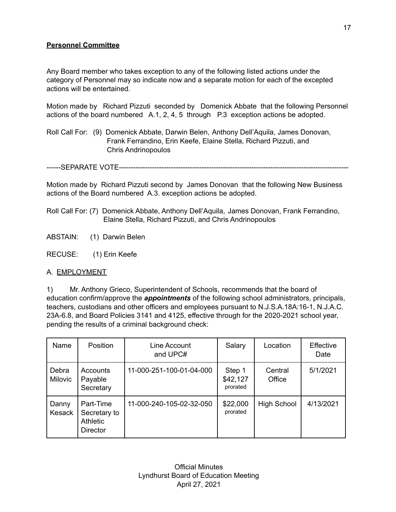## **Personnel Committee**

Any Board member who takes exception to any of the following listed actions under the category of Personnel may so indicate now and a separate motion for each of the excepted actions will be entertained.

Motion made by Richard Pizzuti seconded by Domenick Abbate that the following Personnel actions of the board numbered A.1, 2, 4, 5 through P.3 exception actions be adopted.

Roll Call For: (9) Domenick Abbate, Darwin Belen, Anthony Dell'Aquila, James Donovan, Frank Ferrandino, Erin Keefe, Elaine Stella, Richard Pizzuti, and Chris Andrinopoulos

------SEPARATE VOTE-------------------------------------------------------------------------------------------------

Motion made by Richard Pizzuti second by James Donovan that the following New Business actions of the Board numbered A.3. exception actions be adopted.

- Roll Call For: (7) Domenick Abbate, Anthony Dell'Aquila, James Donovan, Frank Ferrandino, Elaine Stella, Richard Pizzuti, and Chris Andrinopoulos
- ABSTAIN: (1) Darwin Belen

RECUSE: (1) Erin Keefe

### A. EMPLOYMENT

1) Mr. Anthony Grieco, Superintendent of Schools, recommends that the board of education confirm/approve the *appointments* of the following school administrators, principals, teachers, custodians and other officers and employees pursuant to N.J.S.A.18A:16-1, N.J.A.C. 23A-6.8, and Board Policies 3141 and 4125, effective through for the 2020-2021 school year, pending the results of a criminal background check:

| Name                    | <b>Position</b>                                                 | Line Account<br>and UPC# | Salary                         | Location           | Effective<br>Date |
|-------------------------|-----------------------------------------------------------------|--------------------------|--------------------------------|--------------------|-------------------|
| Debra<br><b>Milovic</b> | Accounts<br>Payable<br>Secretary                                | 11-000-251-100-01-04-000 | Step 1<br>\$42,127<br>prorated | Central<br>Office  | 5/1/2021          |
| Danny<br><b>Kesack</b>  | Part-Time<br>Secretary to<br><b>Athletic</b><br><b>Director</b> | 11-000-240-105-02-32-050 | \$22,000<br>prorated           | <b>High School</b> | 4/13/2021         |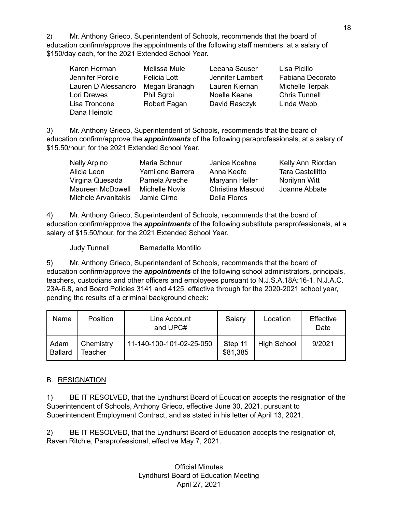2) Mr. Anthony Grieco, Superintendent of Schools, recommends that the board of education confirm/approve the appointments of the following staff members, at a salary of \$150/day each, for the 2021 Extended School Year.

| Karen Herman        | Melissa Mule  | Leeana Sauser    | Lisa Picillo         |
|---------------------|---------------|------------------|----------------------|
| Jennifer Porcile    | Felicia Lott  | Jennifer Lambert | Fabiana Decorato     |
| Lauren D'Alessandro | Megan Branagh | Lauren Kiernan   | Michelle Terpak      |
| Lori Drewes         | Phil Sgroi    | Noelle Keane     | <b>Chris Tunnell</b> |
| Lisa Troncone       | Robert Fagan  | David Rasczyk    | Linda Webb           |
| Dana Heinold        |               |                  |                      |

3) Mr. Anthony Grieco, Superintendent of Schools, recommends that the board of education confirm/approve the *appointments* of the following paraprofessionals, at a salary of \$15.50/hour, for the 2021 Extended School Year.

| Nelly Arpino               | Maria Schnur     | Janice Koehne           | Kelly Ann Riordan       |
|----------------------------|------------------|-------------------------|-------------------------|
| Alicia Leon                | Yamilene Barrera | Anna Keefe              | <b>Tara Castellitto</b> |
| Virgina Quesada            | Pamela Areche    | Maryann Heller          | Norilynn Witt           |
| Maureen McDowell           | Michelle Novis   | <b>Christina Masoud</b> | Joanne Abbate           |
| <b>Michele Arvanitakis</b> | Jamie Cirne      | Delia Flores            |                         |

4) Mr. Anthony Grieco, Superintendent of Schools, recommends that the board of education confirm/approve the *appointments* of the following substitute paraprofessionals, at a salary of \$15.50/hour, for the 2021 Extended School Year.

Judy Tunnell Bernadette Montillo

5) Mr. Anthony Grieco, Superintendent of Schools, recommends that the board of education confirm/approve the *appointments* of the following school administrators, principals, teachers, custodians and other officers and employees pursuant to N.J.S.A.18A:16-1, N.J.A.C. 23A-6.8, and Board Policies 3141 and 4125, effective through for the 2020-2021 school year, pending the results of a criminal background check:

| Name                   | <b>Position</b>      | Line Account<br>and UPC# | Salary              | Location           | Effective<br>Date |
|------------------------|----------------------|--------------------------|---------------------|--------------------|-------------------|
| Adam<br><b>Ballard</b> | Chemistry<br>Teacher | 11-140-100-101-02-25-050 | Step 11<br>\$81,385 | <b>High School</b> | 9/2021            |

### B. RESIGNATION

1) BE IT RESOLVED, that the Lyndhurst Board of Education accepts the resignation of the Superintendent of Schools, Anthony Grieco, effective June 30, 2021, pursuant to Superintendent Employment Contract, and as stated in his letter of April 13, 2021.

2) BE IT RESOLVED, that the Lyndhurst Board of Education accepts the resignation of, Raven Ritchie, Paraprofessional, effective May 7, 2021.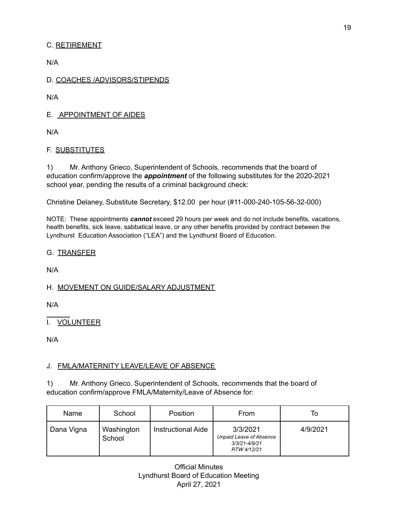# C. RETIREMENT

N/A

## D. COACHES /ADVISORS/STIPENDS

N/A

E. APPOINTMENT OF AIDES

N/A

# F. SUBSTITUTES

1) Mr. Anthony Grieco, Superintendent of Schools, recommends that the board of education confirm/approve the *appointment* of the following substitutes for the 2020-2021 school year, pending the results of a criminal background check:

Christine Delaney, Substitute Secretary, \$12.00 per hour (#11-000-240-105-56-32-000)

NOTE: These appointments *cannot* exceed 29 hours per week and do not include benefits, vacations, health benefits, sick leave, sabbatical leave, or any other benefits provided by contract between the Lyndhurst Education Association ("LEA") and the Lyndhurst Board of Education.

## G. TRANSFER

N/A

## H. MOVEMENT ON GUIDE/SALARY ADJUSTMENT

N/A

I. VOLUNTEER

N/A

# J. FMLA/MATERNITY LEAVE/LEAVE OF ABSENCE

1) Mr. Anthony Grieco, Superintendent of Schools, recommends that the board of education confirm/approve FMLA/Maternity/Leave of Absence for:

| Name       | School               | Position                  | From                                                                | To       |
|------------|----------------------|---------------------------|---------------------------------------------------------------------|----------|
| Dana Vigna | Washington<br>School | <b>Instructional Aide</b> | 3/3/2021<br>Unpaid Leave of Absence<br>3/3/21-4/9/21<br>RTW 4/12/21 | 4/9/2021 |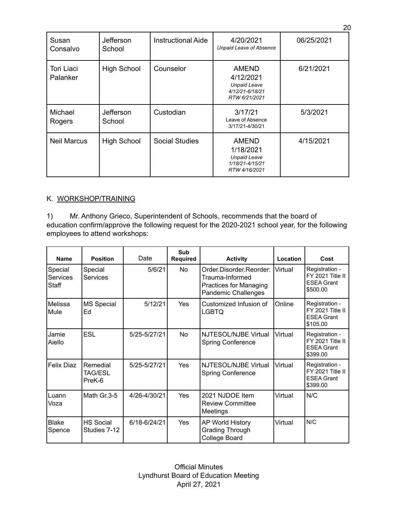| Susan<br>Consalvo      | Jefferson<br>School | <b>Instructional Aide</b> | 4/20/2021<br><b>Unpaid Leave of Absence</b>                                          | 06/25/2021 |
|------------------------|---------------------|---------------------------|--------------------------------------------------------------------------------------|------------|
| Tori Liaci<br>Palanker | <b>High School</b>  | Counselor                 | <b>AMEND</b><br>4/12/2021<br><b>Unpaid Leave</b><br>4/12/21-6/18/21<br>RTW 6/21/2021 | 6/21/2021  |
| Michael<br>Rogers      | Jefferson<br>School | Custodian                 | 3/17/21<br>Leave of Absence<br>3/17/21-4/30/21                                       | 5/3/2021   |
| <b>Neil Marcus</b>     | <b>High School</b>  | <b>Social Studies</b>     | <b>AMEND</b><br>1/18/2021<br><b>Unpaid Leave</b><br>1/18/21-4/15/21<br>RTW 4/16/2021 | 4/15/2021  |

# K. WORKSHOP/TRAINING

1) Mr. Anthony Grieco, Superintendent of Schools, recommends that the board of education confirm/approve the following request for the 2020-2021 school year, for the following employees to attend workshops:

| <b>Name</b>                  | <b>Position</b>                  | Date         | Sub<br><b>Required</b> | <b>Activity</b>                                                                                    | Location | Cost                                                                |
|------------------------------|----------------------------------|--------------|------------------------|----------------------------------------------------------------------------------------------------|----------|---------------------------------------------------------------------|
| Special<br>Services<br>Staff | Special<br><b>Services</b>       | 5/6/21       | No                     | Order.Disorder.Reorder:<br>Trauma-Informed<br>Practices for Managing<br><b>Pandemic Challenges</b> | Virtual  | Registration -<br>FY 2021 Title II<br><b>ESEA Grant</b><br>\$500.00 |
| Melissa<br>Mule              | <b>MS Special</b><br>Ed          | 5/12/21      | Yes                    | Customized Infusion of<br><b>LGBTQ</b>                                                             | Online   | Registration -<br>FY 2021 Title II<br><b>ESEA Grant</b><br>\$105.00 |
| Jamie<br>Aiello              | <b>ESL</b>                       | 5/25-5/27/21 | No                     | NJTESOL/NJBE Virtual<br><b>Spring Conference</b>                                                   | Virtual  | Registration -<br>FY 2021 Title II<br><b>ESEA Grant</b><br>\$399.00 |
| Felix Diaz                   | Remedial<br>TAG/ESL<br>PreK-6    | 5/25-5/27/21 | Yes                    | NJTESOL/NJBE Virtual<br><b>Spring Conference</b>                                                   | Virtual  | Registration -<br>FY 2021 Title II<br><b>ESEA Grant</b><br>\$399.00 |
| Luann<br>Voza                | Math Gr.3-5                      | 4/26-4/30/21 | Yes                    | 2021 NJDOE Item<br>Virtual<br><b>Review Committee</b><br>Meetings                                  |          | N/C                                                                 |
| <b>Blake</b><br>Spence       | <b>HS Social</b><br>Studies 7-12 | 6/18-6/24/21 | Yes                    | AP World History<br>Grading Through<br>College Board                                               | Virtual  | N/C                                                                 |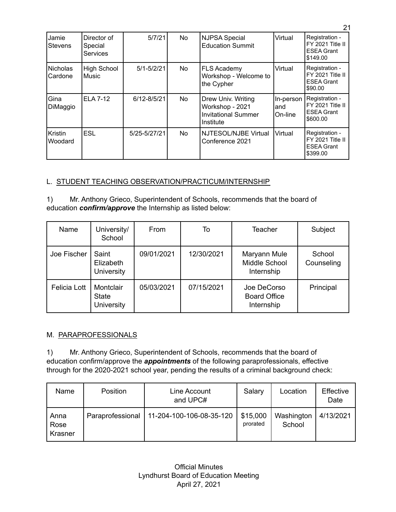| Jamie<br><b>Stevens</b> | Director of<br>Special<br><b>Services</b> | 5/7/21          | No        | <b>NJPSA Special</b><br><b>Education Summit</b>                                  | Virtual                      | Registration -<br>FY 2021 Title II<br><b>ESEA Grant</b><br>\$149.00 |
|-------------------------|-------------------------------------------|-----------------|-----------|----------------------------------------------------------------------------------|------------------------------|---------------------------------------------------------------------|
| Nicholas<br>Cardone     | High School<br><b>Music</b>               | $5/1 - 5/2/21$  | No        | FLS Academy<br>Workshop - Welcome to<br>the Cypher                               | Virtual                      | Registration -<br>FY 2021 Title II<br><b>ESEA Grant</b><br>\$90.00  |
| Gina<br>DiMaggio        | <b>ELA 7-12</b>                           | $6/12 - 8/5/21$ | No        | Drew Univ. Writing<br>Workshop - 2021<br><b>Invitational Summer</b><br>Institute | In-person<br>land<br>On-line | Registration -<br>FY 2021 Title II<br><b>ESEA Grant</b><br>\$600.00 |
| Kristin<br>Woodard      | <b>ESL</b>                                | 5/25-5/27/21    | <b>No</b> | NJTESOL/NJBE Virtual<br>Conference 2021                                          | Virtual                      | Registration -<br>FY 2021 Title II<br><b>ESEA Grant</b><br>\$399.00 |

## L. STUDENT TEACHING OBSERVATION/PRACTICUM/INTERNSHIP

1) Mr. Anthony Grieco, Superintendent of Schools, recommends that the board of education *confirm/approve* the Internship as listed below:

| Name                | University/<br>School                          | From       | To         | <b>Teacher</b>                                   | Subject              |
|---------------------|------------------------------------------------|------------|------------|--------------------------------------------------|----------------------|
| Joe Fischer         | Saint<br>Elizabeth<br><b>University</b>        | 09/01/2021 | 12/30/2021 | Maryann Mule<br>Middle School<br>Internship      | School<br>Counseling |
| <b>Felicia Lott</b> | Montclair<br><b>State</b><br><b>University</b> | 05/03/2021 | 07/15/2021 | Joe DeCorso<br><b>Board Office</b><br>Internship | Principal            |

## M. PARAPROFESSIONALS

1) Mr. Anthony Grieco, Superintendent of Schools, recommends that the board of education confirm/approve the *appointments* of the following paraprofessionals, effective through for the 2020-2021 school year, pending the results of a criminal background check:

| Name                    | Position         | Line Account<br>and UPC# | Salary               | Location             | Effective<br>Date |
|-------------------------|------------------|--------------------------|----------------------|----------------------|-------------------|
| Anna<br>Rose<br>Krasner | Paraprofessional | 11-204-100-106-08-35-120 | \$15,000<br>prorated | Washington<br>School | 4/13/2021         |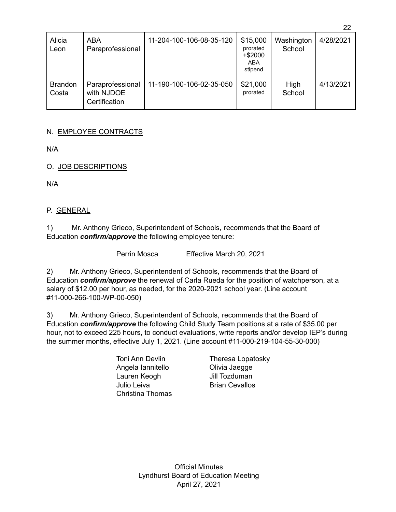| Alicia<br>Leon          | ABA<br>Paraprofessional                         | 11-204-100-106-08-35-120 | \$15,000<br>prorated<br>$+$ \$2000<br>ABA<br>stipend | Washington<br>School | 4/28/2021 |
|-------------------------|-------------------------------------------------|--------------------------|------------------------------------------------------|----------------------|-----------|
| <b>Brandon</b><br>Costa | Paraprofessional<br>with NJDOE<br>Certification | 11-190-100-106-02-35-050 | \$21,000<br>prorated                                 | High<br>School       | 4/13/2021 |

22

# N. EMPLOYEE CONTRACTS

N/A

O. JOB DESCRIPTIONS

N/A

### P. GENERAL

1) Mr. Anthony Grieco, Superintendent of Schools, recommends that the Board of Education *confirm/approve* the following employee tenure:

Perrin Mosca Effective March 20, 2021

2) Mr. Anthony Grieco, Superintendent of Schools, recommends that the Board of Education *confirm/approve* the renewal of Carla Rueda for the position of watchperson, at a salary of \$12.00 per hour, as needed, for the 2020-2021 school year. (Line account #11-000-266-100-WP-00-050)

3) Mr. Anthony Grieco, Superintendent of Schools, recommends that the Board of Education *confirm/approve* the following Child Study Team positions at a rate of \$35.00 per hour, not to exceed 225 hours, to conduct evaluations, write reports and/or develop IEP's during the summer months, effective July 1, 2021. (Line account #11-000-219-104-55-30-000)

> Angela Iannitello Olivia Jaegge Lauren Keogh Jill Tozduman Julio Leiva **Brian Cevallos** Christina Thomas

Toni Ann Devlin Theresa Lopatosky